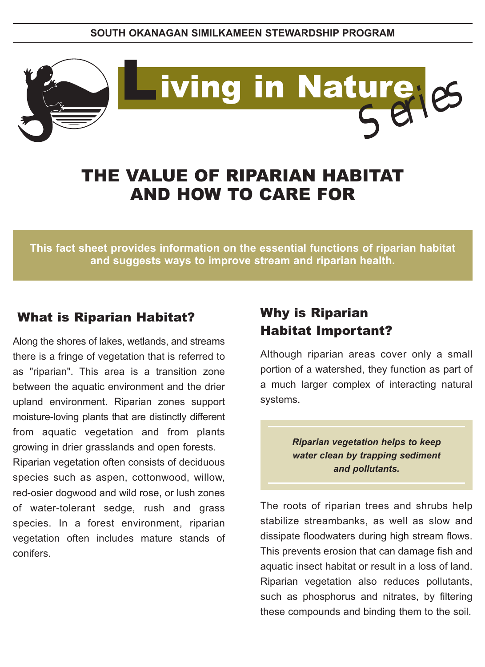

# THE VALUE OF RIPARIAN HABITAT AND HOW TO CARE FOR

**This fact sheet provides information on the essential functions of riparian habitat and suggests ways to improve stream and riparian health.**

### What is Riparian Habitat?

Along the shores of lakes, wetlands, and streams there is a fringe of vegetation that is referred to as "riparian". This area is a transition zone between the aquatic environment and the drier upland environment. Riparian zones support moisture-loving plants that are distinctly different from aquatic vegetation and from plants growing in drier grasslands and open forests.

Riparian vegetation often consists of deciduous species such as aspen, cottonwood, willow, red-osier dogwood and wild rose, or lush zones of water-tolerant sedge, rush and grass species. In a forest environment, riparian vegetation often includes mature stands of conifers.

## Why is Riparian Habitat Important?

Although riparian areas cover only a small portion of a watershed, they function as part of a much larger complex of interacting natural systems.

> *Riparian vegetation helps to keep water clean by trapping sediment and pollutants.*

The roots of riparian trees and shrubs help stabilize streambanks, as well as slow and dissipate floodwaters during high stream flows. This prevents erosion that can damage fish and aquatic insect habitat or result in a loss of land. Riparian vegetation also reduces pollutants, such as phosphorus and nitrates, by filtering these compounds and binding them to the soil.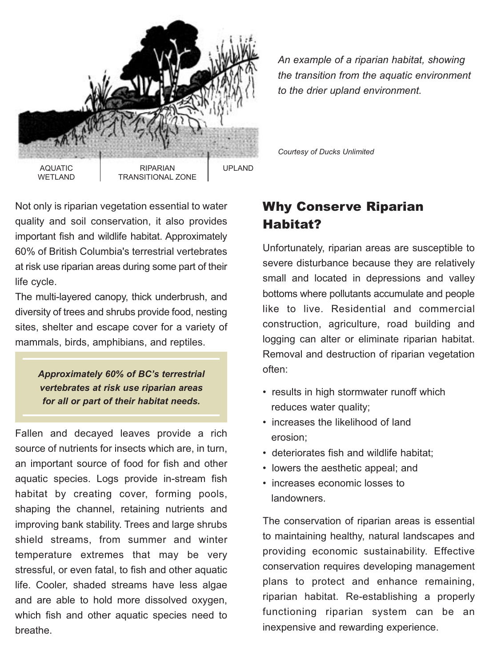

*An example of a riparian habitat, showing the transition from the aquatic environment to the drier upland environment.*

Not only is riparian vegetation essential to water quality and soil conservation, it also provides important fish and wildlife habitat. Approximately 60% of British Columbia's terrestrial vertebrates at risk use riparian areas during some part of their life cycle.

The multi-layered canopy, thick underbrush, and diversity of trees and shrubs provide food, nesting sites, shelter and escape cover for a variety of mammals, birds, amphibians, and reptiles.

> *Approximately 60% of BC's terrestrial vertebrates at risk use riparian areas for all or part of their habitat needs.*

Fallen and decayed leaves provide a rich source of nutrients for insects which are, in turn, an important source of food for fish and other aquatic species. Logs provide in-stream fish habitat by creating cover, forming pools, shaping the channel, retaining nutrients and improving bank stability. Trees and large shrubs shield streams, from summer and winter temperature extremes that may be very stressful, or even fatal, to fish and other aquatic life. Cooler, shaded streams have less algae and are able to hold more dissolved oxygen, which fish and other aquatic species need to breathe.

*Courtesy of Ducks Unlimited*

# Why Conserve Riparian Habitat?

Unfortunately, riparian areas are susceptible to severe disturbance because they are relatively small and located in depressions and valley bottoms where pollutants accumulate and people like to live. Residential and commercial construction, agriculture, road building and logging can alter or eliminate riparian habitat. Removal and destruction of riparian vegetation often:

- results in high stormwater runoff which reduces water quality;
- increases the likelihood of land erosion;
- deteriorates fish and wildlife habitat;
- lowers the aesthetic appeal; and
- increases economic losses to landowners.

The conservation of riparian areas is essential to maintaining healthy, natural landscapes and providing economic sustainability. Effective conservation requires developing management plans to protect and enhance remaining, riparian habitat. Re-establishing a properly functioning riparian system can be an inexpensive and rewarding experience.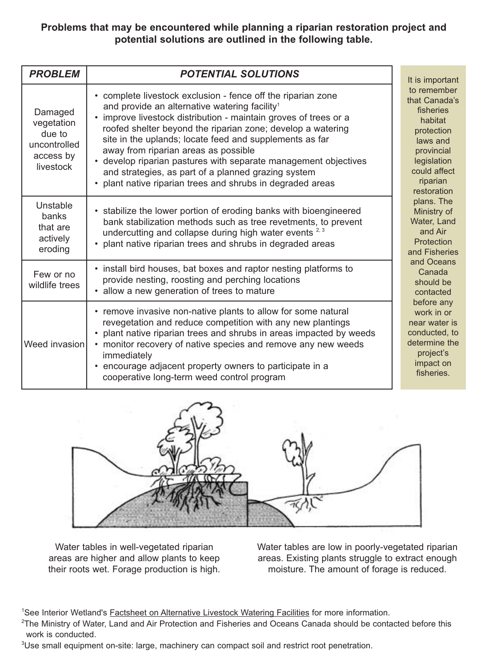#### **Problems that may be encountered while planning a riparian restoration project and potential solutions are outlined in the following table.**

| <b>PROBLEM</b>                                                            | <b>POTENTIAL SOLUTIONS</b>                                                                                                                                                                                                                                                                                                                                                                                                                                                                                                                            | It is important                                                                                                                                        |
|---------------------------------------------------------------------------|-------------------------------------------------------------------------------------------------------------------------------------------------------------------------------------------------------------------------------------------------------------------------------------------------------------------------------------------------------------------------------------------------------------------------------------------------------------------------------------------------------------------------------------------------------|--------------------------------------------------------------------------------------------------------------------------------------------------------|
| Damaged<br>vegetation<br>due to<br>uncontrolled<br>access by<br>livestock | • complete livestock exclusion - fence off the riparian zone<br>and provide an alternative watering facility <sup>1</sup><br>• improve livestock distribution - maintain groves of trees or a<br>roofed shelter beyond the riparian zone; develop a watering<br>site in the uplands; locate feed and supplements as far<br>away from riparian areas as possible<br>• develop riparian pastures with separate management objectives<br>and strategies, as part of a planned grazing system<br>plant native riparian trees and shrubs in degraded areas | to remember<br>that Canada's<br>fisheries<br>habitat<br>protection<br>laws and<br>provincial<br>legislation<br>could affect<br>riparian<br>restoration |
| Unstable<br><b>banks</b><br>that are<br>actively<br>eroding               | • stabilize the lower portion of eroding banks with bioengineered<br>bank stabilization methods such as tree revetments, to prevent<br>undercutting and collapse during high water events <sup>2,3</sup><br>• plant native riparian trees and shrubs in degraded areas                                                                                                                                                                                                                                                                                | plans. The<br>Ministry of<br>Water, Land<br>and Air<br>Protection<br>and Fisheries                                                                     |
| Few or no<br>wildlife trees                                               | • install bird houses, bat boxes and raptor nesting platforms to<br>provide nesting, roosting and perching locations<br>• allow a new generation of trees to mature                                                                                                                                                                                                                                                                                                                                                                                   | and Oceans<br>Canada<br>should be<br>contacted                                                                                                         |
| Weed invasion                                                             | • remove invasive non-native plants to allow for some natural<br>revegetation and reduce competition with any new plantings<br>• plant native riparian trees and shrubs in areas impacted by weeds<br>• monitor recovery of native species and remove any new weeds<br>immediately<br>• encourage adjacent property owners to participate in a<br>cooperative long-term weed control program                                                                                                                                                          | before any<br>work in or<br>near water is<br>conducted, to<br>determine the<br>project's<br>impact on<br>fisheries.                                    |

Water tables in well-vegetated riparian areas are higher and allow plants to keep their roots wet. Forage production is high. Water tables are low in poorly-vegetated riparian areas. Existing plants struggle to extract enough moisture. The amount of forage is reduced.

<sup>1</sup>See Interior Wetland's <u>Factsheet on Alternative Livestock Watering Facilities</u> for more information.<br><sup>2</sup>The Ministry of Water, Land and Air Protection and Fisheries and Oceans Canada should be conta

- <sup>2</sup>The Ministry of Water, Land and Air Protection and Fisheries and Oceans Canada should be contacted before this work is conducted.
- <sup>3</sup>Use small equipment on-site: large, machinery can compact soil and restrict root penetration.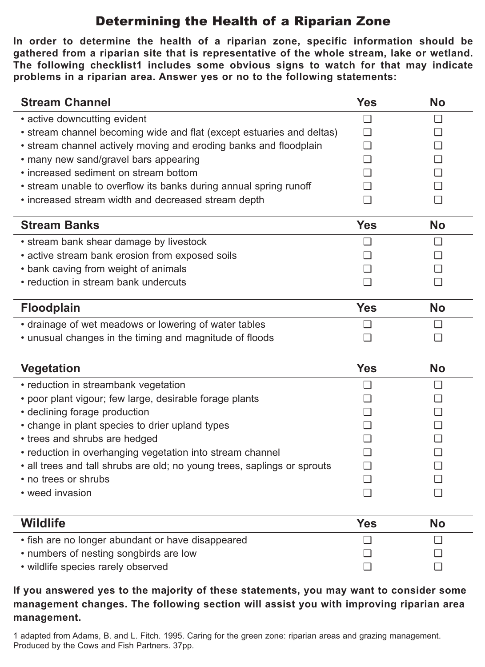# Determining the Health of a Riparian Zone

**In order to determine the health of a riparian zone, specific information should be gathered from a riparian site that is representative of the whole stream, lake or wetland. The following checklist1 includes some obvious signs to watch for that may indicate problems in a riparian area. Answer yes or no to the following statements:**

| <b>Stream Channel</b>                                                 | <b>Yes</b>     | <b>No</b>      |
|-----------------------------------------------------------------------|----------------|----------------|
| • active downcutting evident                                          | $\blacksquare$ | $\blacksquare$ |
| • stream channel becoming wide and flat (except estuaries and deltas) |                | $\blacksquare$ |
| • stream channel actively moving and eroding banks and floodplain     |                | ப              |
| • many new sand/gravel bars appearing                                 |                |                |
| • increased sediment on stream bottom                                 |                |                |
| • stream unable to overflow its banks during annual spring runoff     |                | ⊔              |
| • increased stream width and decreased stream depth                   |                |                |
| <b>Stream Banks</b>                                                   | <b>Yes</b>     | <b>No</b>      |
| • stream bank shear damage by livestock                               | ∩              | ∩              |
| • active stream bank erosion from exposed soils                       |                |                |
| • bank caving from weight of animals                                  |                |                |
| • reduction in stream bank undercuts                                  |                |                |
| <b>Floodplain</b>                                                     |                | <b>No</b>      |
| • drainage of wet meadows or lowering of water tables                 |                | l 1            |
| • unusual changes in the timing and magnitude of floods               |                |                |
| <b>Vegetation</b>                                                     |                | <b>No</b>      |
| • reduction in streambank vegetation                                  |                |                |
| e poor plant vigour: fow large, docirable forgas plante               |                | $\mathbf{r}$   |

| • poor plant vigour; few large, desirable forage plants                  |  |  |
|--------------------------------------------------------------------------|--|--|
| • declining forage production                                            |  |  |
| • change in plant species to drier upland types                          |  |  |
| • trees and shrubs are hedged                                            |  |  |
| • reduction in overhanging vegetation into stream channel                |  |  |
| • all trees and tall shrubs are old; no young trees, saplings or sprouts |  |  |
| • no trees or shrubs                                                     |  |  |
| • weed invasion                                                          |  |  |

| <b>Wildlife</b>                                   | Yes | No |
|---------------------------------------------------|-----|----|
| • fish are no longer abundant or have disappeared |     |    |
| • numbers of nesting songbirds are low            |     |    |
| • wildlife species rarely observed                |     |    |

**If you answered yes to the majority of these statements, you may want to consider some management changes. The following section will assist you with improving riparian area management.**

1 adapted from Adams, B. and L. Fitch. 1995. Caring for the green zone: riparian areas and grazing management. Produced by the Cows and Fish Partners. 37pp.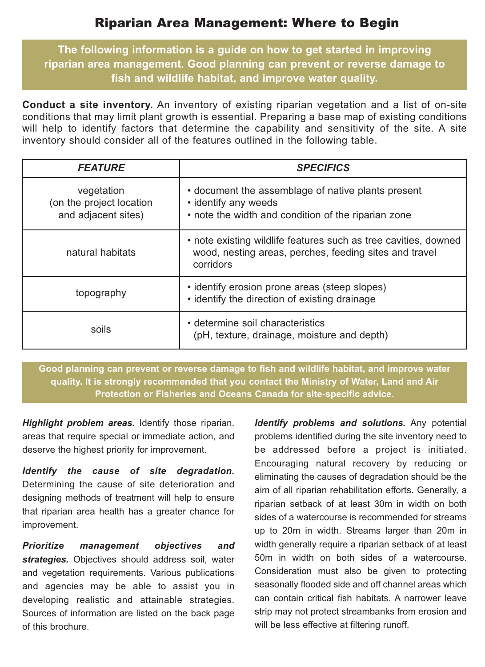### Riparian Area Management: Where to Begin

**The following information is a guide on how to get started in improving riparian area management. Good planning can prevent or reverse damage to fish and wildlife habitat, and improve water quality.**

**Conduct a site inventory.** An inventory of existing riparian vegetation and a list of on-site conditions that may limit plant growth is essential. Preparing a base map of existing conditions will help to identify factors that determine the capability and sensitivity of the site. A site inventory should consider all of the features outlined in the following table.

| <b>FEATURE</b>                                                | <b>SPECIFICS</b>                                                                                                                       |
|---------------------------------------------------------------|----------------------------------------------------------------------------------------------------------------------------------------|
| vegetation<br>(on the project location<br>and adjacent sites) | • document the assemblage of native plants present<br>• identify any weeds<br>• note the width and condition of the riparian zone      |
| natural habitats                                              | • note existing wildlife features such as tree cavities, downed<br>wood, nesting areas, perches, feeding sites and travel<br>corridors |
| topography                                                    | • identify erosion prone areas (steep slopes)<br>• identify the direction of existing drainage                                         |
| soils                                                         | • determine soil characteristics<br>(pH, texture, drainage, moisture and depth)                                                        |

**Good planning can prevent or reverse damage to fish and wildlife habitat, and improve water quality. It is strongly recommended that you contact the Ministry of Water, Land and Air Protection or Fisheries and Oceans Canada for site-specific advice.**

*Highlight problem areas.* Identify those riparian. areas that require special or immediate action, and deserve the highest priority for improvement.

*Identify the cause of site degradation.* Determining the cause of site deterioration and designing methods of treatment will help to ensure that riparian area health has a greater chance for improvement.

*Prioritize management objectives and strategies.* Objectives should address soil, water and vegetation requirements. Various publications and agencies may be able to assist you in developing realistic and attainable strategies. Sources of information are listed on the back page of this brochure.

*Identify problems and solutions.* Any potential problems identified during the site inventory need to be addressed before a project is initiated. Encouraging natural recovery by reducing or eliminating the causes of degradation should be the aim of all riparian rehabilitation efforts. Generally, a riparian setback of at least 30m in width on both sides of a watercourse is recommended for streams up to 20m in width. Streams larger than 20m in width generally require a riparian setback of at least 50m in width on both sides of a watercourse. Consideration must also be given to protecting seasonally flooded side and off channel areas which can contain critical fish habitats. A narrower leave strip may not protect streambanks from erosion and will be less effective at filtering runoff.